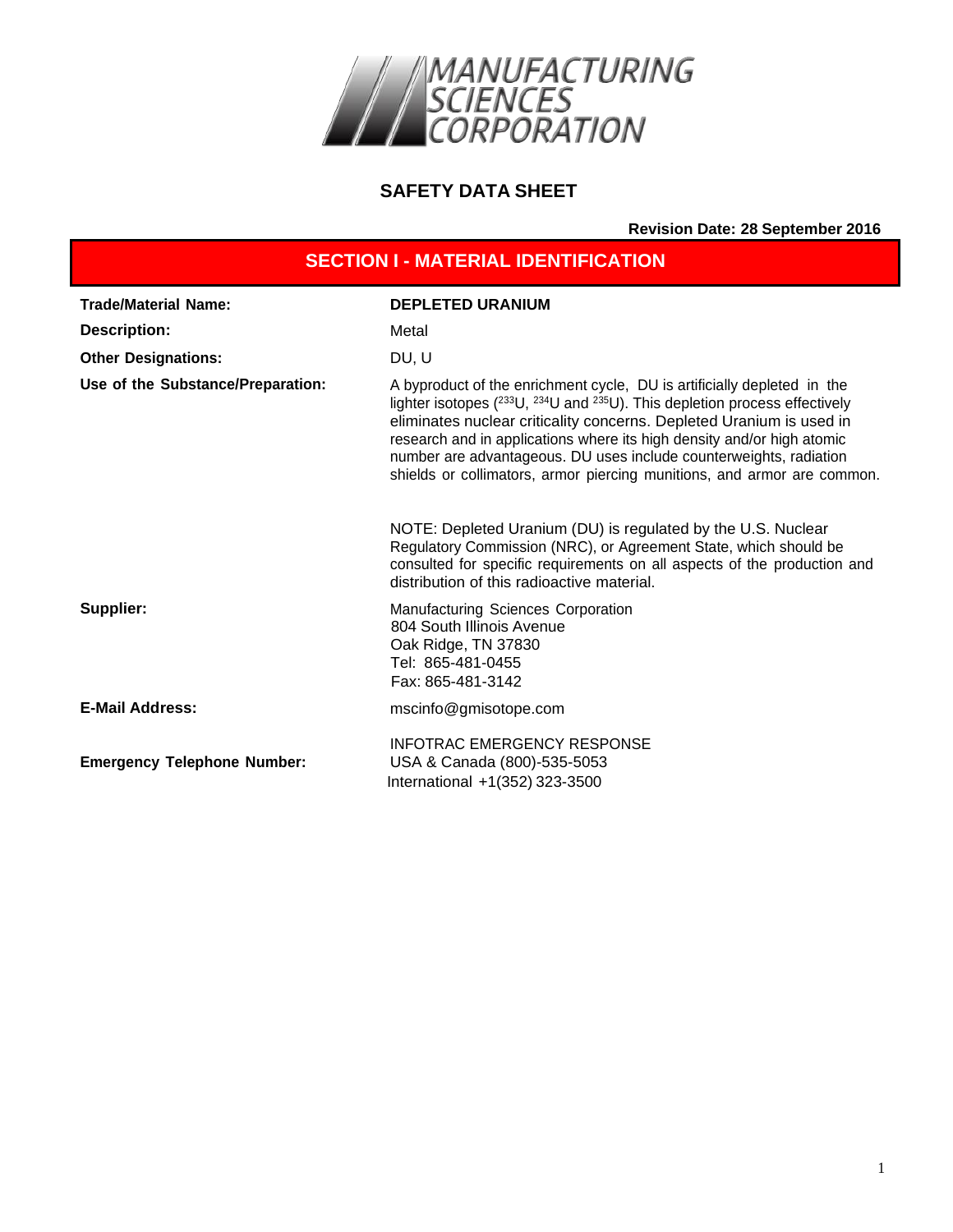

#### **SAFETY DATA SHEET**

**Revision Date: 28 September 2016**

| <b>SECTION I - MATERIAL IDENTIFICATION</b> |                                                                                                                                                                                                                                                                                                                                                                                                                                                                                                                                                                                                            |  |
|--------------------------------------------|------------------------------------------------------------------------------------------------------------------------------------------------------------------------------------------------------------------------------------------------------------------------------------------------------------------------------------------------------------------------------------------------------------------------------------------------------------------------------------------------------------------------------------------------------------------------------------------------------------|--|
| <b>Trade/Material Name:</b>                | <b>DEPLETED URANIUM</b>                                                                                                                                                                                                                                                                                                                                                                                                                                                                                                                                                                                    |  |
| <b>Description:</b>                        | Metal                                                                                                                                                                                                                                                                                                                                                                                                                                                                                                                                                                                                      |  |
| <b>Other Designations:</b>                 | DU, U                                                                                                                                                                                                                                                                                                                                                                                                                                                                                                                                                                                                      |  |
| Use of the Substance/Preparation:          | A byproduct of the enrichment cycle, DU is artificially depleted in the<br>lighter isotopes $(^{233}U, ^{234}U$ and $^{235}U)$ . This depletion process effectively<br>eliminates nuclear criticality concerns. Depleted Uranium is used in<br>research and in applications where its high density and/or high atomic<br>number are advantageous. DU uses include counterweights, radiation<br>shields or collimators, armor piercing munitions, and armor are common.<br>NOTE: Depleted Uranium (DU) is regulated by the U.S. Nuclear<br>Regulatory Commission (NRC), or Agreement State, which should be |  |
|                                            | consulted for specific requirements on all aspects of the production and<br>distribution of this radioactive material.                                                                                                                                                                                                                                                                                                                                                                                                                                                                                     |  |
| Supplier:                                  | <b>Manufacturing Sciences Corporation</b><br>804 South Illinois Avenue<br>Oak Ridge, TN 37830<br>Tel: 865-481-0455<br>Fax: 865-481-3142                                                                                                                                                                                                                                                                                                                                                                                                                                                                    |  |
| <b>E-Mail Address:</b>                     | mscinfo@gmisotope.com                                                                                                                                                                                                                                                                                                                                                                                                                                                                                                                                                                                      |  |
| <b>Emergency Telephone Number:</b>         | <b>INFOTRAC EMERGENCY RESPONSE</b><br>USA & Canada (800)-535-5053<br>International +1(352) 323-3500                                                                                                                                                                                                                                                                                                                                                                                                                                                                                                        |  |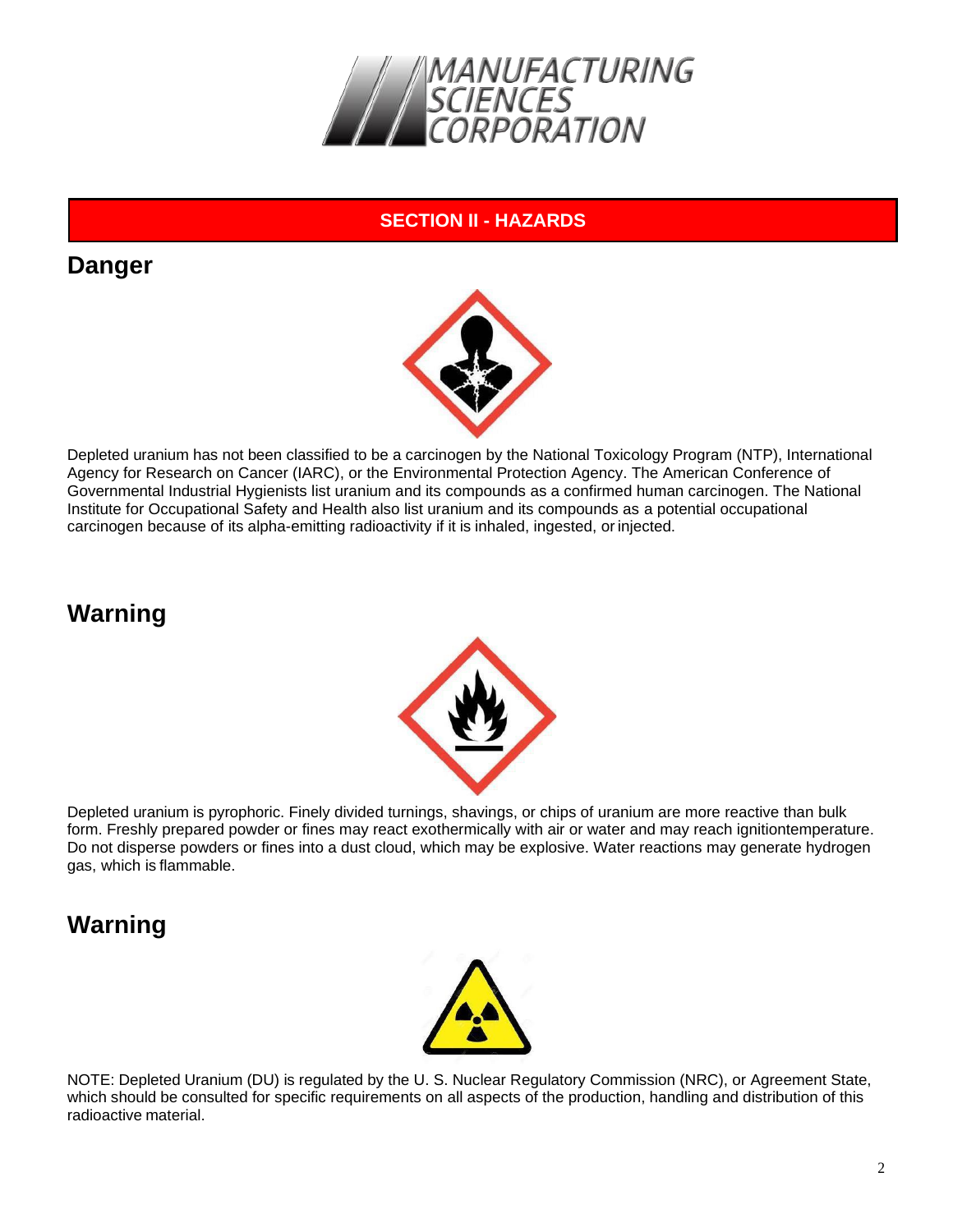

#### **SECTION II - HAZARDS**

## **Danger**



Depleted uranium has not been classified to be a carcinogen by the National Toxicology Program (NTP), International Agency for Research on Cancer (IARC), or the Environmental Protection Agency. The American Conference of Governmental Industrial Hygienists list uranium and its compounds as a confirmed human carcinogen. The National Institute for Occupational Safety and Health also list uranium and its compounds as a potential occupational carcinogen because of its alpha-emitting radioactivity if it is inhaled, ingested, or injected.

# **Warning**



Depleted uranium is pyrophoric. Finely divided turnings, shavings, or chips of uranium are more reactive than bulk form. Freshly prepared powder or fines may react exothermically with air or water and may reach ignitiontemperature. Do not disperse powders or fines into a dust cloud, which may be explosive. Water reactions may generate hydrogen gas, which is flammable.

# **Warning**



NOTE: Depleted Uranium (DU) is regulated by the U. S. Nuclear Regulatory Commission (NRC), or Agreement State, which should be consulted for specific requirements on all aspects of the production, handling and distribution of this radioactive material.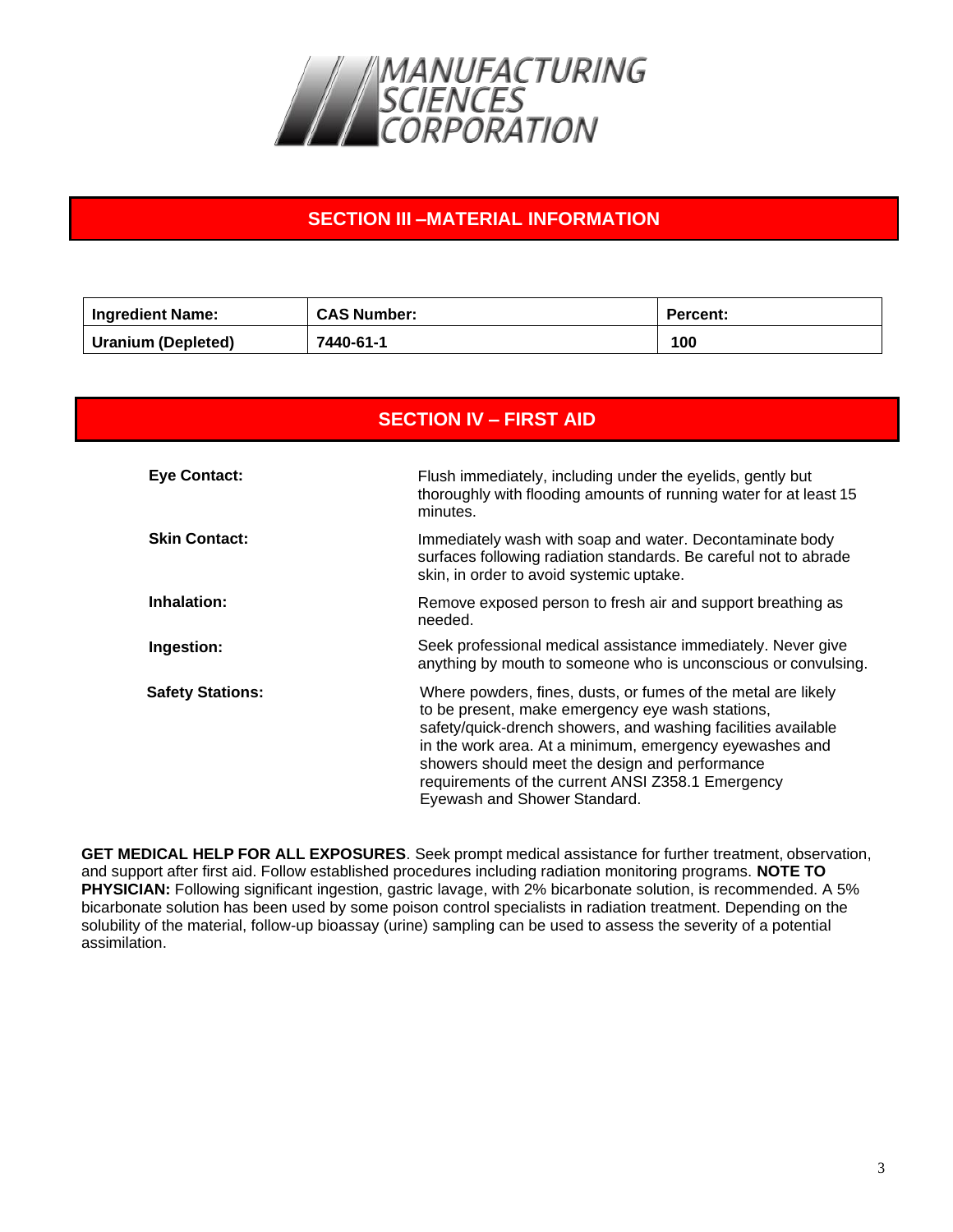

## **SECTION III –MATERIAL INFORMATION**

| Ingredient Name:   | <b>CAS Number:</b> | <b>Percent:</b> |
|--------------------|--------------------|-----------------|
| Uranium (Depleted) | 7440-61-1          | 100             |

| <b>SECTION IV - FIRST AID</b> |                                                                                                                                                                                                                                                                                                                                                                                      |  |
|-------------------------------|--------------------------------------------------------------------------------------------------------------------------------------------------------------------------------------------------------------------------------------------------------------------------------------------------------------------------------------------------------------------------------------|--|
| <b>Eye Contact:</b>           | Flush immediately, including under the eyelids, gently but<br>thoroughly with flooding amounts of running water for at least 15<br>minutes.                                                                                                                                                                                                                                          |  |
| <b>Skin Contact:</b>          | Immediately wash with soap and water. Decontaminate body<br>surfaces following radiation standards. Be careful not to abrade<br>skin, in order to avoid systemic uptake.                                                                                                                                                                                                             |  |
| Inhalation:                   | Remove exposed person to fresh air and support breathing as<br>needed.                                                                                                                                                                                                                                                                                                               |  |
| Ingestion:                    | Seek professional medical assistance immediately. Never give<br>anything by mouth to someone who is unconscious or convulsing.                                                                                                                                                                                                                                                       |  |
| <b>Safety Stations:</b>       | Where powders, fines, dusts, or fumes of the metal are likely<br>to be present, make emergency eye wash stations,<br>safety/quick-drench showers, and washing facilities available<br>in the work area. At a minimum, emergency eyewashes and<br>showers should meet the design and performance<br>requirements of the current ANSI Z358.1 Emergency<br>Eyewash and Shower Standard. |  |

**GET MEDICAL HELP FOR ALL EXPOSURES**. Seek prompt medical assistance for further treatment, observation, and support after first aid. Follow established procedures including radiation monitoring programs. **NOTE TO PHYSICIAN:** Following significant ingestion, gastric lavage, with 2% bicarbonate solution, is recommended. A 5% bicarbonate solution has been used by some poison control specialists in radiation treatment. Depending on the solubility of the material, follow-up bioassay (urine) sampling can be used to assess the severity of a potential assimilation.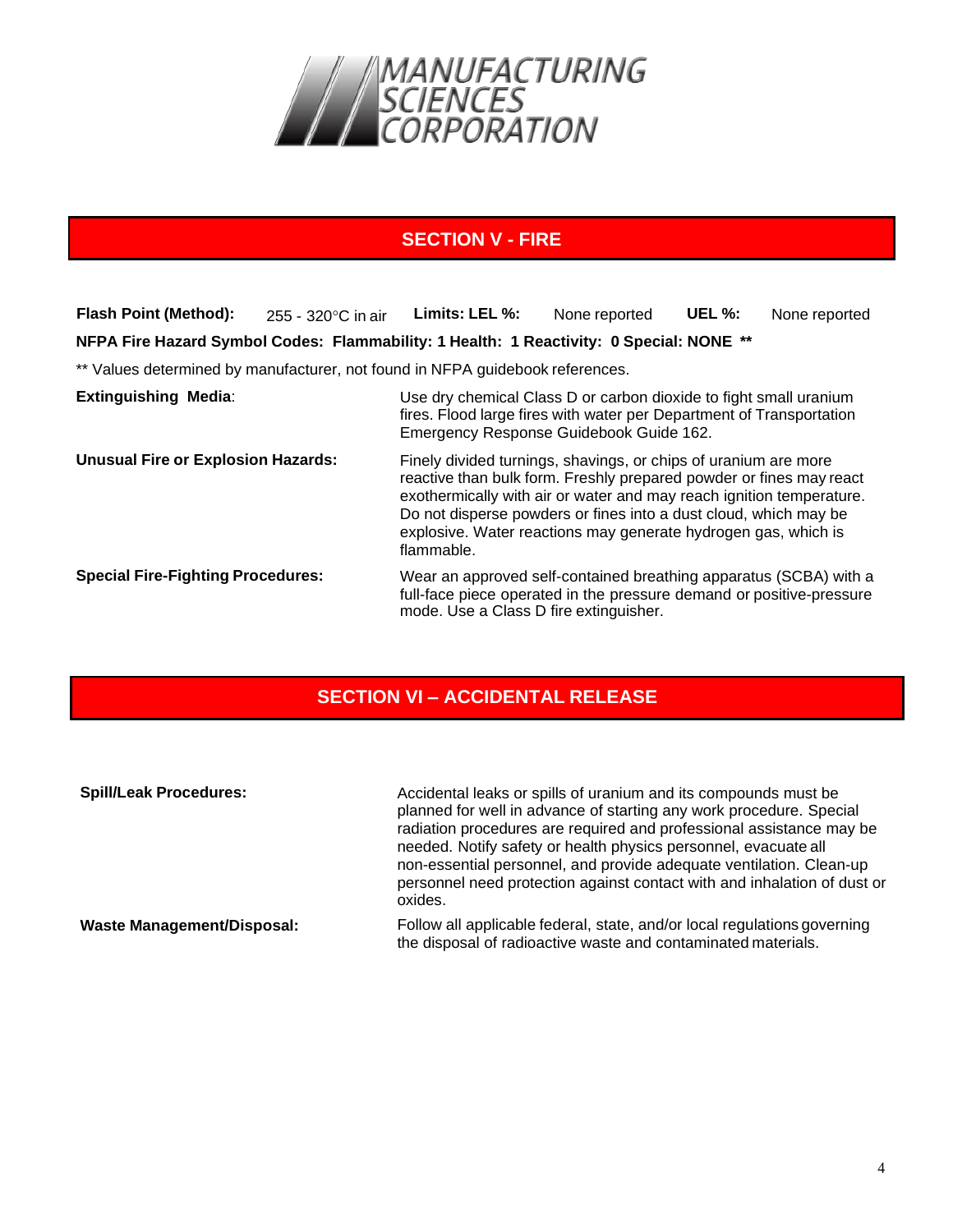

## **SECTION V - FIRE**

**Flash Point (Method):** 255 - 320 °C in air Limits: LEL %: None reported UEL %: None reported **NFPA Fire Hazard Symbol Codes: Flammability: 1 Health: 1 Reactivity: 0 Special: NONE \*\*** \*\* Values determined by manufacturer, not found in NFPA guidebook references. **Extinguishing Media**: Use dry chemical Class D or carbon dioxide to fight small uranium fires. Flood large fires with water per Department of Transportation Emergency Response Guidebook Guide 162. **Unusual Fire or Explosion Hazards:** Finely divided turnings, shavings, or chips of uranium are more reactive than bulk form. Freshly prepared powder or fines may react exothermically with air or water and may reach ignition temperature. Do not disperse powders or fines into a dust cloud, which may be explosive. Water reactions may generate hydrogen gas, which is flammable. **Special Fire-Fighting Procedures:** Wear an approved self-contained breathing apparatus (SCBA) with a full-face piece operated in the pressure demand or positive-pressure mode. Use a Class D fire extinguisher.

## **SECTION VI – ACCIDENTAL RELEASE**

| <b>Spill/Leak Procedures:</b>     | Accidental leaks or spills of uranium and its compounds must be<br>planned for well in advance of starting any work procedure. Special<br>radiation procedures are required and professional assistance may be<br>needed. Notify safety or health physics personnel, evacuate all |  |
|-----------------------------------|-----------------------------------------------------------------------------------------------------------------------------------------------------------------------------------------------------------------------------------------------------------------------------------|--|
|                                   | non-essential personnel, and provide adequate ventilation. Clean-up<br>personnel need protection against contact with and inhalation of dust or<br>oxides.                                                                                                                        |  |
| <b>Waste Management/Disposal:</b> | Follow all applicable federal, state, and/or local regulations governing<br>the disposal of radioactive waste and contaminated materials.                                                                                                                                         |  |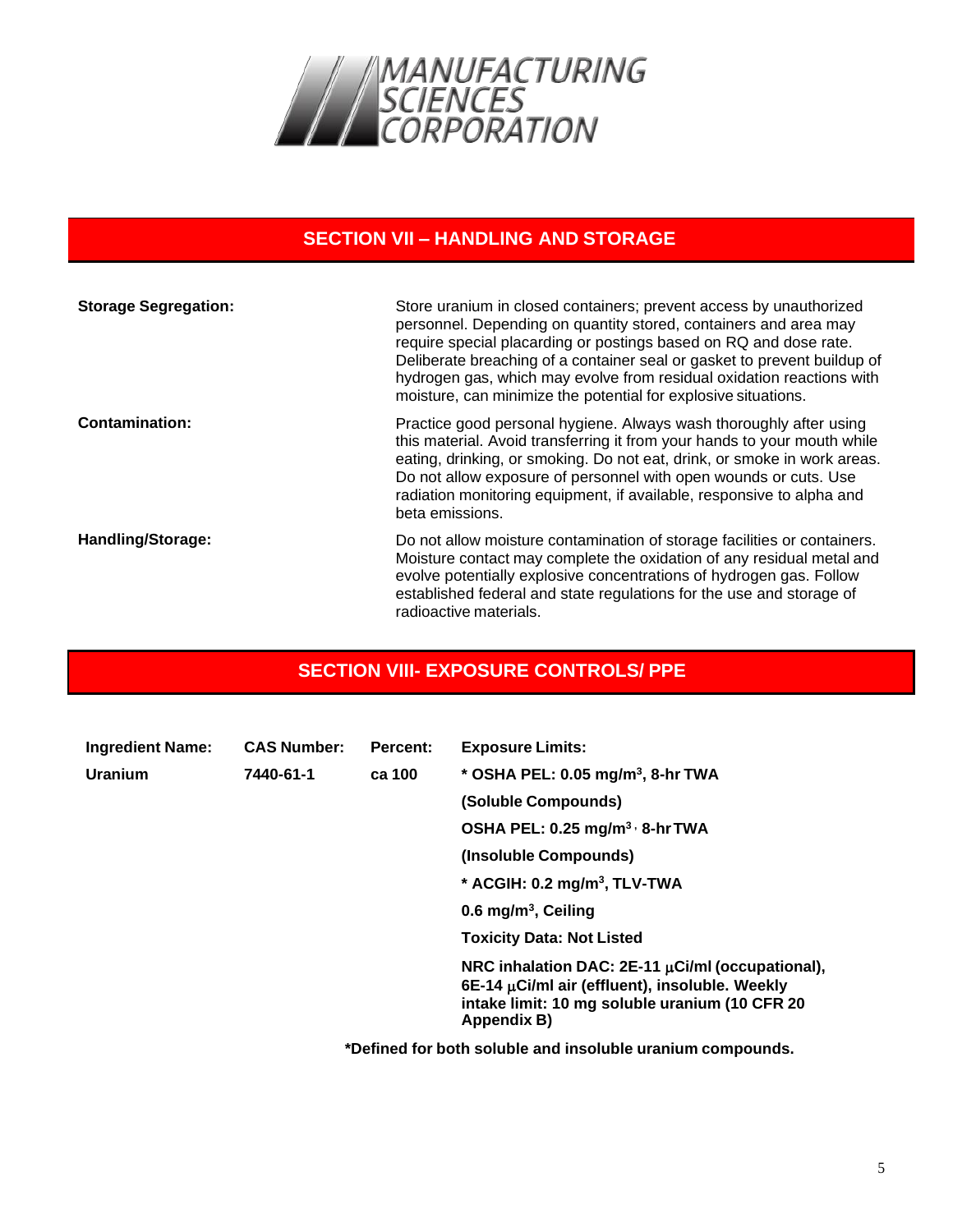

#### **SECTION VII – HANDLING AND STORAGE**

| <b>Storage Segregation:</b> | Store uranium in closed containers; prevent access by unauthorized<br>personnel. Depending on quantity stored, containers and area may<br>require special placarding or postings based on RQ and dose rate.<br>Deliberate breaching of a container seal or gasket to prevent buildup of<br>hydrogen gas, which may evolve from residual oxidation reactions with<br>moisture, can minimize the potential for explosive situations. |
|-----------------------------|------------------------------------------------------------------------------------------------------------------------------------------------------------------------------------------------------------------------------------------------------------------------------------------------------------------------------------------------------------------------------------------------------------------------------------|
| <b>Contamination:</b>       | Practice good personal hygiene. Always wash thoroughly after using<br>this material. Avoid transferring it from your hands to your mouth while<br>eating, drinking, or smoking. Do not eat, drink, or smoke in work areas.<br>Do not allow exposure of personnel with open wounds or cuts. Use<br>radiation monitoring equipment, if available, responsive to alpha and<br>beta emissions.                                         |
| <b>Handling/Storage:</b>    | Do not allow moisture contamination of storage facilities or containers.<br>Moisture contact may complete the oxidation of any residual metal and<br>evolve potentially explosive concentrations of hydrogen gas. Follow<br>established federal and state regulations for the use and storage of<br>radioactive materials.                                                                                                         |

## **SECTION VIII- EXPOSURE CONTROLS/ PPE**

| <b>Ingredient Name:</b> | <b>CAS Number:</b> | Percent: | <b>Exposure Limits:</b>                                                                                                                                                       |
|-------------------------|--------------------|----------|-------------------------------------------------------------------------------------------------------------------------------------------------------------------------------|
| Uranium                 | 7440-61-1          | ca 100   | * OSHA PEL: 0.05 mg/m <sup>3</sup> , 8-hr TWA                                                                                                                                 |
|                         |                    |          | (Soluble Compounds)                                                                                                                                                           |
|                         |                    |          | OSHA PEL: 0.25 mg/m <sup>3,</sup> 8-hr TWA                                                                                                                                    |
|                         |                    |          | (Insoluble Compounds)                                                                                                                                                         |
|                         |                    |          | * ACGIH: $0.2 \text{ mg/m}^3$ , TLV-TWA                                                                                                                                       |
|                         |                    |          | 0.6 mg/m <sup>3</sup> , Ceiling                                                                                                                                               |
|                         |                    |          | <b>Toxicity Data: Not Listed</b>                                                                                                                                              |
|                         |                    |          | NRC inhalation DAC: $2E-11 \mu$ Ci/ml (occupational),<br>$6E-14 \mu Ci/ml$ air (effluent), insoluble. Weekly<br>intake limit: 10 mg soluble uranium (10 CFR 20<br>Appendix B) |

**\*Defined for both soluble and insoluble uranium compounds.**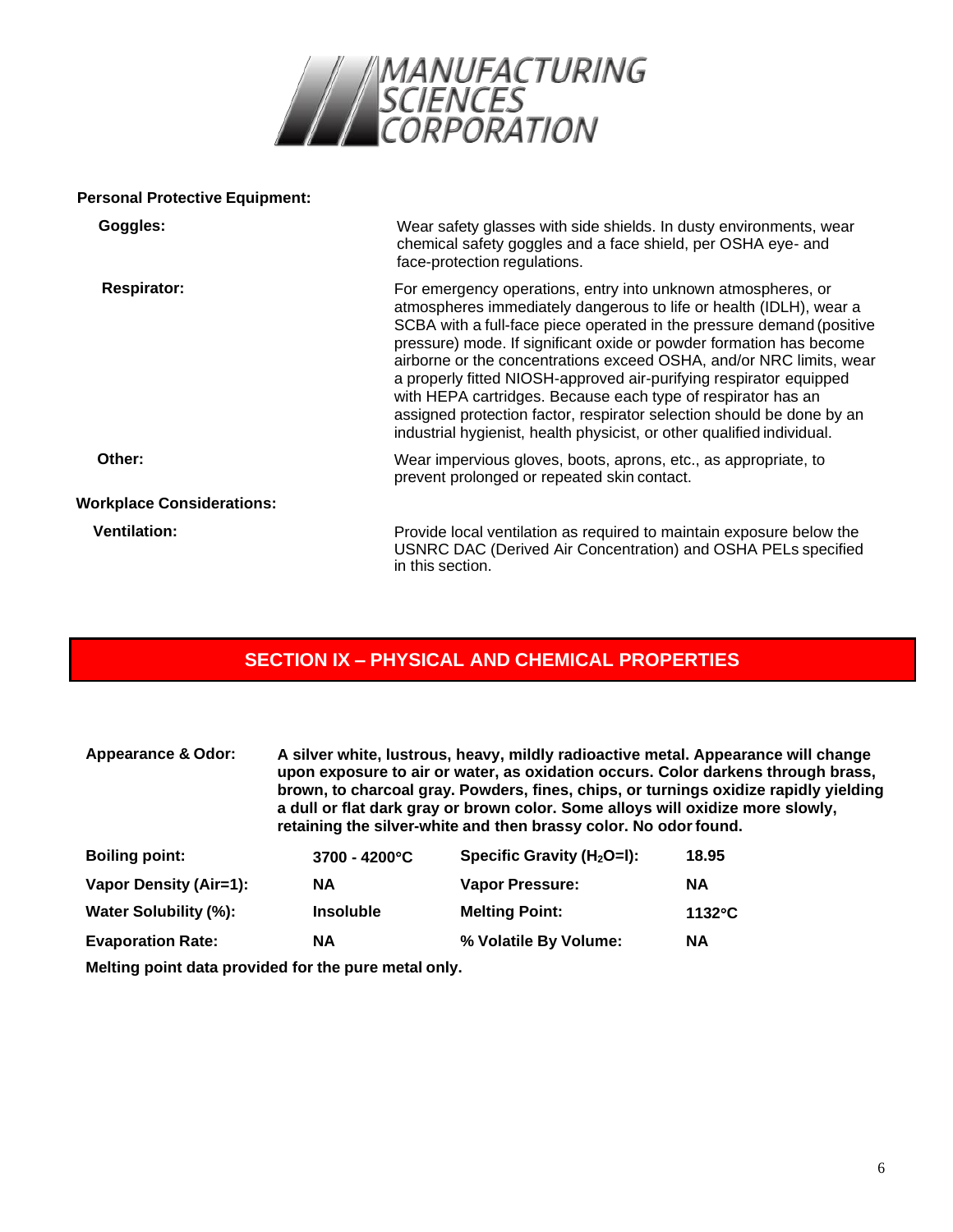

#### **Personal Protective Equipment:**

| Goggles:                         | Wear safety glasses with side shields. In dusty environments, wear<br>chemical safety goggles and a face shield, per OSHA eye- and<br>face-protection regulations.                                                                                                                                                                                                                                                                                                                                                                                                                                                                                 |
|----------------------------------|----------------------------------------------------------------------------------------------------------------------------------------------------------------------------------------------------------------------------------------------------------------------------------------------------------------------------------------------------------------------------------------------------------------------------------------------------------------------------------------------------------------------------------------------------------------------------------------------------------------------------------------------------|
| <b>Respirator:</b>               | For emergency operations, entry into unknown atmospheres, or<br>atmospheres immediately dangerous to life or health (IDLH), wear a<br>SCBA with a full-face piece operated in the pressure demand (positive<br>pressure) mode. If significant oxide or powder formation has become<br>airborne or the concentrations exceed OSHA, and/or NRC limits, wear<br>a properly fitted NIOSH-approved air-purifying respirator equipped<br>with HEPA cartridges. Because each type of respirator has an<br>assigned protection factor, respirator selection should be done by an<br>industrial hygienist, health physicist, or other qualified individual. |
| Other:                           | Wear impervious gloves, boots, aprons, etc., as appropriate, to<br>prevent prolonged or repeated skin contact.                                                                                                                                                                                                                                                                                                                                                                                                                                                                                                                                     |
| <b>Workplace Considerations:</b> |                                                                                                                                                                                                                                                                                                                                                                                                                                                                                                                                                                                                                                                    |
| <b>Ventilation:</b>              | Provide local ventilation as required to maintain exposure below the<br>USNRC DAC (Derived Air Concentration) and OSHA PELs specified<br>in this section.                                                                                                                                                                                                                                                                                                                                                                                                                                                                                          |

## **SECTION IX – PHYSICAL AND CHEMICAL PROPERTIES**

| <b>Appearance &amp; Odor:</b> | A silver white, lustrous, heavy, mildly radioactive metal. Appearance will change<br>upon exposure to air or water, as oxidation occurs. Color darkens through brass,<br>brown, to charcoal gray. Powders, fines, chips, or turnings oxidize rapidly yielding<br>a dull or flat dark gray or brown color. Some alloys will oxidize more slowly,<br>retaining the silver-white and then brassy color. No odor found. |                               |                  |
|-------------------------------|---------------------------------------------------------------------------------------------------------------------------------------------------------------------------------------------------------------------------------------------------------------------------------------------------------------------------------------------------------------------------------------------------------------------|-------------------------------|------------------|
| <b>Boiling point:</b>         | $3700 - 4200^{\circ}C$                                                                                                                                                                                                                                                                                                                                                                                              | Specific Gravity $(H_2O=I)$ : | 18.95            |
| Vapor Density (Air=1):        | <b>NA</b>                                                                                                                                                                                                                                                                                                                                                                                                           | <b>Vapor Pressure:</b>        | <b>NA</b>        |
| Water Solubility (%):         | <b>Insoluble</b>                                                                                                                                                                                                                                                                                                                                                                                                    | <b>Melting Point:</b>         | $1132^{\circ}$ C |
| <b>Evaporation Rate:</b>      | <b>NA</b>                                                                                                                                                                                                                                                                                                                                                                                                           | % Volatile By Volume:         | <b>NA</b>        |

**Melting point data provided for the pure metal only.**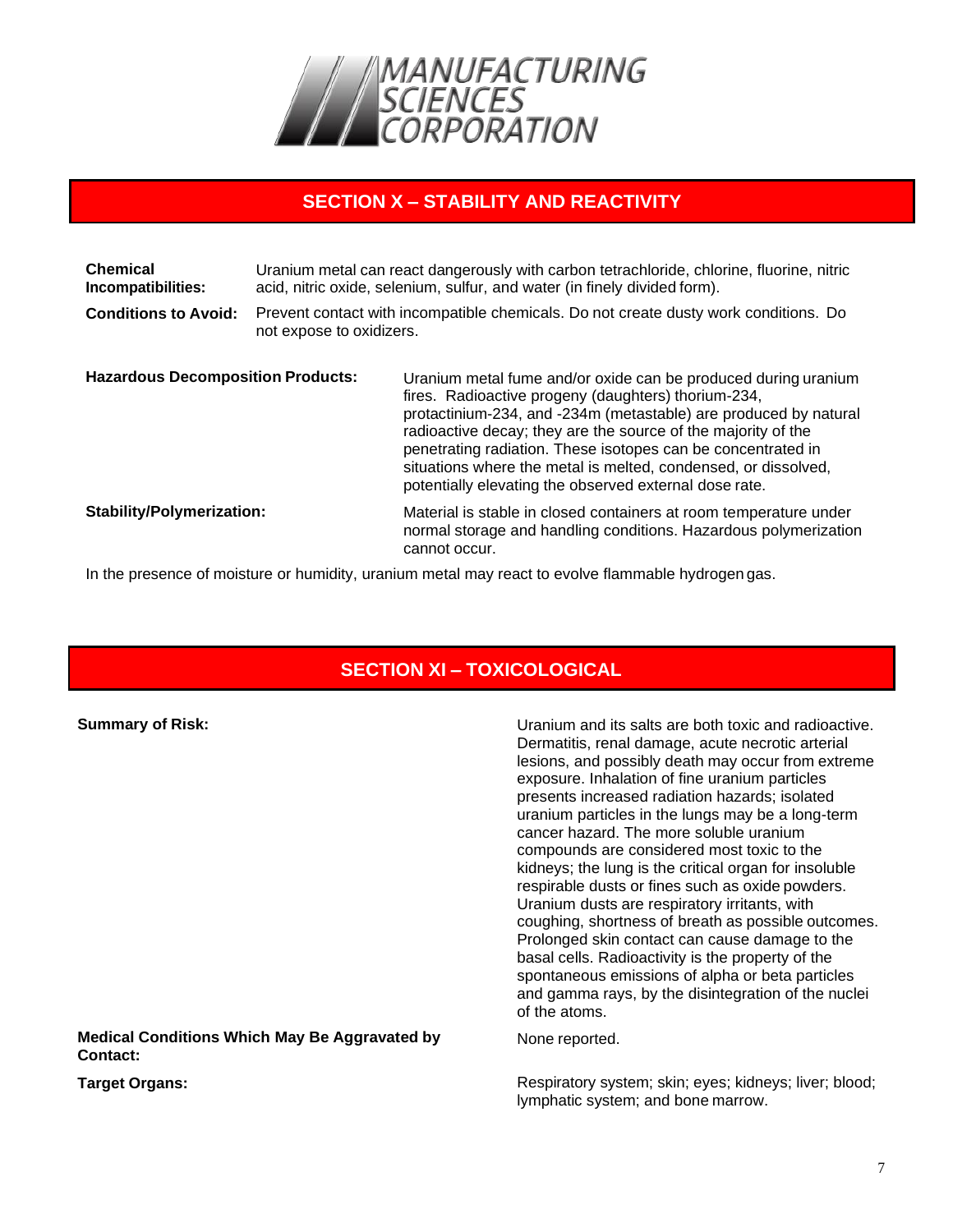

#### **SECTION X – STABILITY AND REACTIVITY**

| <b>Chemical</b><br>Incompatibilities:<br><b>Conditions to Avoid:</b> | Uranium metal can react dangerously with carbon tetrachloride, chlorine, fluorine, nitric<br>acid, nitric oxide, selenium, sulfur, and water (in finely divided form).<br>Prevent contact with incompatible chemicals. Do not create dusty work conditions. Do<br>not expose to oxidizers. |                                                                                                                                                                                                                                                                                                                                                                                                                                                        |
|----------------------------------------------------------------------|--------------------------------------------------------------------------------------------------------------------------------------------------------------------------------------------------------------------------------------------------------------------------------------------|--------------------------------------------------------------------------------------------------------------------------------------------------------------------------------------------------------------------------------------------------------------------------------------------------------------------------------------------------------------------------------------------------------------------------------------------------------|
| <b>Hazardous Decomposition Products:</b>                             |                                                                                                                                                                                                                                                                                            | Uranium metal fume and/or oxide can be produced during uranium<br>fires. Radioactive progeny (daughters) thorium-234,<br>protactinium-234, and -234m (metastable) are produced by natural<br>radioactive decay; they are the source of the majority of the<br>penetrating radiation. These isotopes can be concentrated in<br>situations where the metal is melted, condensed, or dissolved,<br>potentially elevating the observed external dose rate. |
| <b>Stability/Polymerization:</b>                                     |                                                                                                                                                                                                                                                                                            | Material is stable in closed containers at room temperature under<br>normal storage and handling conditions. Hazardous polymerization<br>cannot occur.                                                                                                                                                                                                                                                                                                 |

In the presence of moisture or humidity, uranium metal may react to evolve flammable hydrogen gas.

## **SECTION XI – TOXICOLOGICAL**

| <b>Summary of Risk:</b>                                          | Uranium and its salts are both toxic and radioactive.<br>Dermatitis, renal damage, acute necrotic arterial<br>lesions, and possibly death may occur from extreme<br>exposure. Inhalation of fine uranium particles<br>presents increased radiation hazards; isolated<br>uranium particles in the lungs may be a long-term<br>cancer hazard. The more soluble uranium<br>compounds are considered most toxic to the<br>kidneys; the lung is the critical organ for insoluble<br>respirable dusts or fines such as oxide powders.<br>Uranium dusts are respiratory irritants, with<br>coughing, shortness of breath as possible outcomes.<br>Prolonged skin contact can cause damage to the<br>basal cells. Radioactivity is the property of the<br>spontaneous emissions of alpha or beta particles<br>and gamma rays, by the disintegration of the nuclei<br>of the atoms. |
|------------------------------------------------------------------|----------------------------------------------------------------------------------------------------------------------------------------------------------------------------------------------------------------------------------------------------------------------------------------------------------------------------------------------------------------------------------------------------------------------------------------------------------------------------------------------------------------------------------------------------------------------------------------------------------------------------------------------------------------------------------------------------------------------------------------------------------------------------------------------------------------------------------------------------------------------------|
| <b>Medical Conditions Which May Be Aggravated by</b><br>Contact: | None reported.                                                                                                                                                                                                                                                                                                                                                                                                                                                                                                                                                                                                                                                                                                                                                                                                                                                             |
| <b>Target Organs:</b>                                            | Respiratory system; skin; eyes; kidneys; liver; blood;<br>lymphatic system; and bone marrow.                                                                                                                                                                                                                                                                                                                                                                                                                                                                                                                                                                                                                                                                                                                                                                               |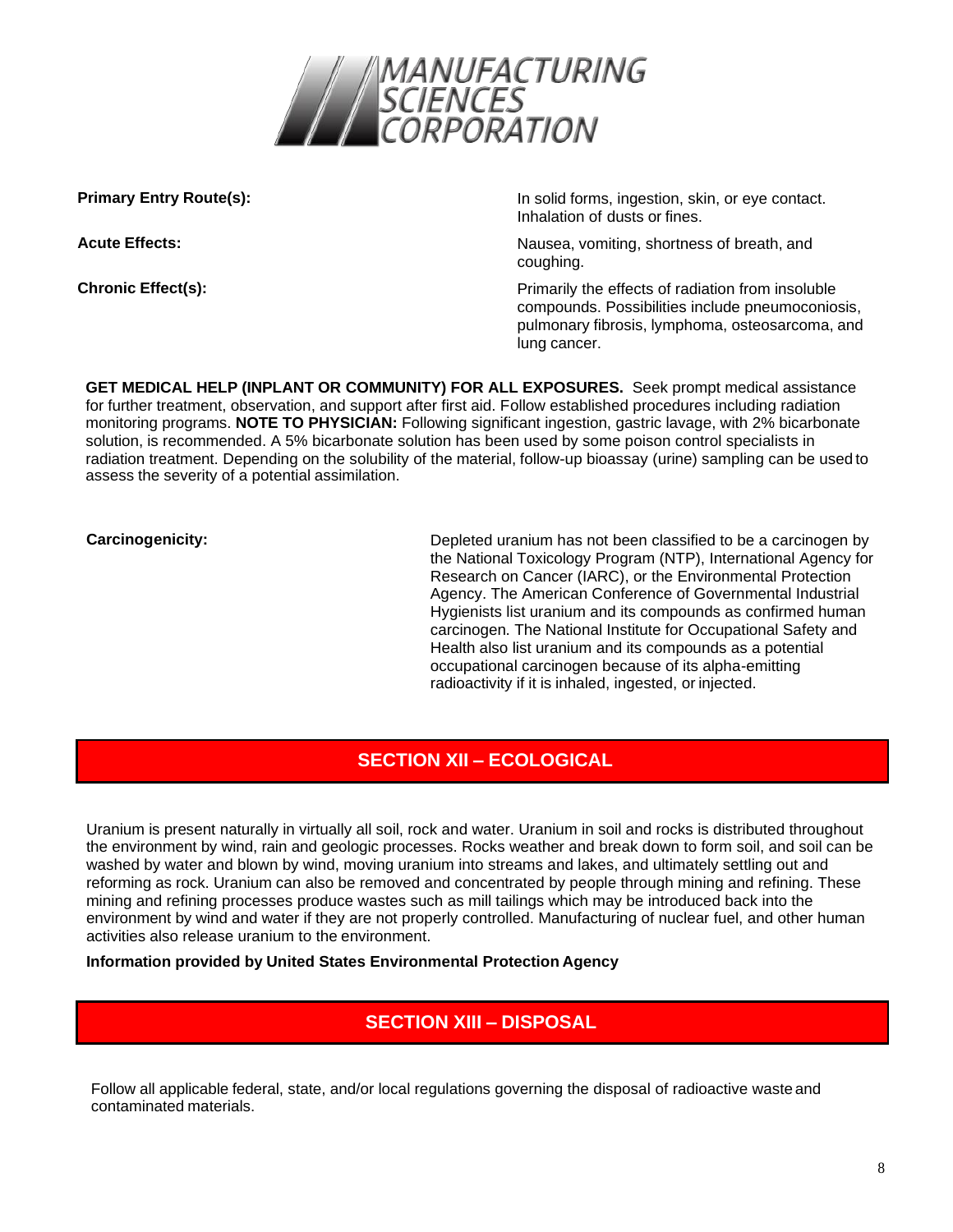

**Primary Entry Route(s):** In solid forms, ingestion, skin, or eye contact. Inhalation of dusts or fines.

**Acute Effects:** Nausea, vomiting, shortness of breath, and **Acute** Effects: coughing.

**Chronic Effect(s): Chronic Effect(s): Primarily the effects of radiation from insoluble** compounds. Possibilities include pneumoconiosis, pulmonary fibrosis, lymphoma, osteosarcoma, and lung cancer.

**GET MEDICAL HELP (INPLANT OR COMMUNITY) FOR ALL EXPOSURES.** Seek prompt medical assistance for further treatment, observation, and support after first aid. Follow established procedures including radiation monitoring programs. **NOTE TO PHYSICIAN:** Following significant ingestion, gastric lavage, with 2% bicarbonate solution, is recommended. A 5% bicarbonate solution has been used by some poison control specialists in radiation treatment. Depending on the solubility of the material, follow-up bioassay (urine) sampling can be used to assess the severity of a potential assimilation.

**Carcinogenicity:** Carcinogenicity: Depleted uranium has not been classified to be a carcinogen by the National Toxicology Program (NTP), International Agency for Research on Cancer (IARC), or the Environmental Protection Agency. The American Conference of Governmental Industrial Hygienists list uranium and its compounds as confirmed human carcinogen. The National Institute for Occupational Safety and Health also list uranium and its compounds as a potential occupational carcinogen because of its alpha-emitting radioactivity if it is inhaled, ingested, or injected.

## **SECTION XII – ECOLOGICAL**

Uranium is present naturally in virtually all soil, rock and water. Uranium in soil and rocks is distributed throughout the environment by wind, rain and geologic processes. Rocks weather and break down to form soil, and soil can be washed by water and blown by wind, moving uranium into streams and lakes, and ultimately settling out and reforming as rock. Uranium can also be removed and concentrated by people through mining and refining. These mining and refining processes produce wastes such as mill tailings which may be introduced back into the environment by wind and water if they are not properly controlled. Manufacturing of nuclear fuel, and other human activities also release uranium to the environment.

**Information provided by United States Environmental Protection Agency**

## **SECTION XIII – DISPOSAL**

Follow all applicable federal, state, and/or local regulations governing the disposal of radioactive waste and contaminated materials.